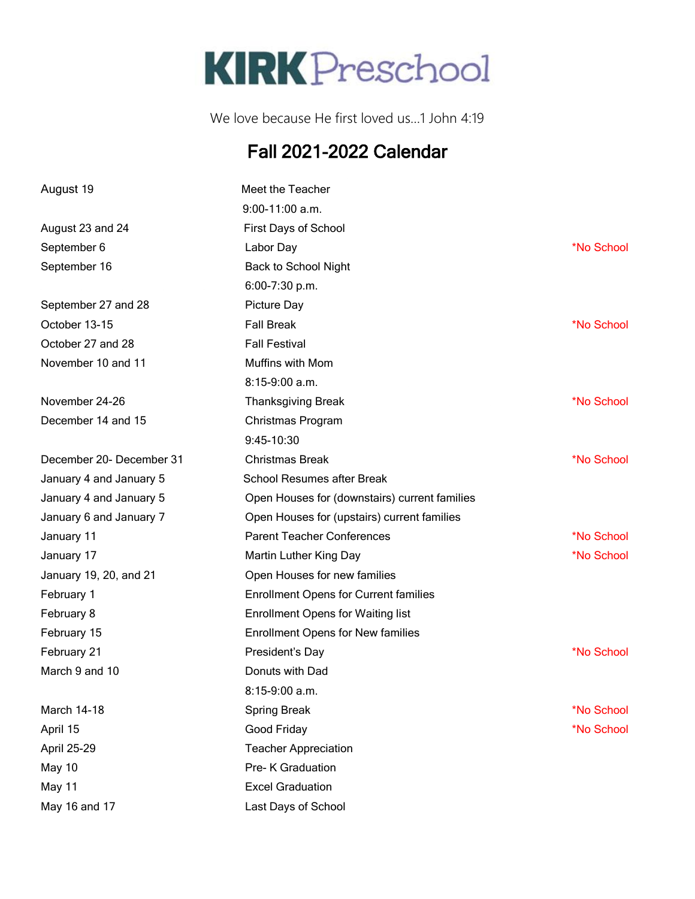

We love because He first loved us…1 John 4:19

## Fall 2021-2022 Calendar

| August 19                | Meet the Teacher                              |            |
|--------------------------|-----------------------------------------------|------------|
|                          | $9:00-11:00$ a.m.                             |            |
| August 23 and 24         | First Days of School                          |            |
| September 6              | Labor Day                                     | *No School |
| September 16             | Back to School Night                          |            |
|                          | 6:00-7:30 p.m.                                |            |
| September 27 and 28      | Picture Day                                   |            |
| October 13-15            | <b>Fall Break</b>                             | *No School |
| October 27 and 28        | <b>Fall Festival</b>                          |            |
| November 10 and 11       | Muffins with Mom                              |            |
|                          | $8:15-9:00$ a.m.                              |            |
| November 24-26           | <b>Thanksgiving Break</b>                     | *No School |
| December 14 and 15       | Christmas Program                             |            |
|                          | 9:45-10:30                                    |            |
| December 20- December 31 | <b>Christmas Break</b>                        | *No School |
| January 4 and January 5  | School Resumes after Break                    |            |
| January 4 and January 5  | Open Houses for (downstairs) current families |            |
| January 6 and January 7  | Open Houses for (upstairs) current families   |            |
| January 11               | <b>Parent Teacher Conferences</b>             | *No School |
| January 17               | Martin Luther King Day                        | *No School |
| January 19, 20, and 21   | Open Houses for new families                  |            |
| February 1               | <b>Enrollment Opens for Current families</b>  |            |
| February 8               | <b>Enrollment Opens for Waiting list</b>      |            |
| February 15              | <b>Enrollment Opens for New families</b>      |            |
| February 21              | President's Day                               | *No School |
| March 9 and 10           | Donuts with Dad                               |            |
|                          | $8:15-9:00$ a.m.                              |            |
| March 14-18              | <b>Spring Break</b>                           | *No School |
| April 15                 | Good Friday                                   | *No School |
| April 25-29              | <b>Teacher Appreciation</b>                   |            |
| May 10                   | Pre- K Graduation                             |            |
| May 11                   | <b>Excel Graduation</b>                       |            |
| May 16 and 17            | Last Days of School                           |            |